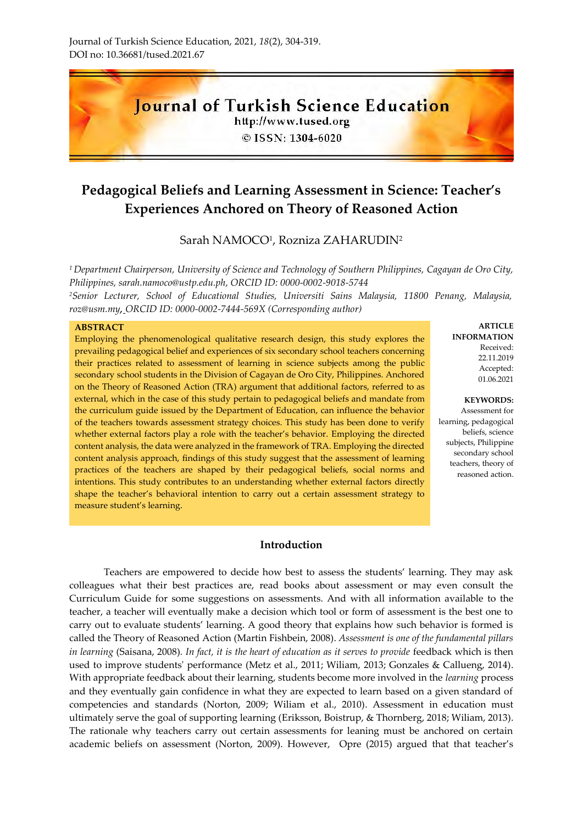**Journal of Turkish Science Education** 

http://www.tused.org

© ISSN: 1304-6020

# **Pedagogical Beliefs and Learning Assessment in Science: Teacher's Experiences Anchored on Theory of Reasoned Action**

Sarah NAMOCO<sup>1</sup>, Rozniza ZAHARUDIN<sup>2</sup>

*<sup>1</sup>Department Chairperson, University of Science and Technology of Southern Philippines, Cagayan de Oro City, Philippines, [sarah.namoco@ustp.edu.ph,](mailto:sarah.namoco@ustp.edu.ph) ORCID ID: 0000-0002-9018-5744*

*<sup>2</sup>Senior Lecturer, School of Educational Studies, Universiti Sains Malaysia, 11800 Penang, Malaysia, [roz@usm.my](mailto:roz@usm.my), ORCID ID: 0000-0002-7444-569X (Corresponding author)*

### **ABSTRACT**

Employing the phenomenological qualitative research design, this study explores the prevailing pedagogical belief and experiences of six secondary school teachers concerning their practices related to assessment of learning in science subjects among the public secondary school students in the Division of Cagayan de Oro City, Philippines. Anchored on the Theory of Reasoned Action (TRA) argument that additional factors, referred to as external, which in the case of this study pertain to pedagogical beliefs and mandate from the curriculum guide issued by the Department of Education, can influence the behavior of the teachers towards assessment strategy choices. This study has been done to verify whether external factors play a role with the teacher's behavior. Employing the directed content analysis, the data were analyzed in the framework of TRA. Employing the directed content analysis approach, findings of this study suggest that the assessment of learning practices of the teachers are shaped by their pedagogical beliefs, social norms and intentions. This study contributes to an understanding whether external factors directly shape the teacher's behavioral intention to carry out a certain assessment strategy to measure student's learning.

### **Introduction**

Teachers are empowered to decide how best to assess the students' learning. They may ask colleagues what their best practices are, read books about assessment or may even consult the Curriculum Guide for some suggestions on assessments. And with all information available to the teacher, a teacher will eventually make a decision which tool or form of assessment is the best one to carry out to evaluate students' learning. A good theory that explains how such behavior is formed is called the Theory of Reasoned Action (Martin Fishbein, 2008). *Assessment is one of the fundamental pillars in learning* (Saisana, 2008)*. In fact, it is the heart of education as it serves to provide* feedback which is then used to improve students' performance (Metz et al., 2011; Wiliam, 2013; Gonzales & Callueng, 2014). With appropriate feedback about their learning, students become more involved in the *learning* process and they eventually gain confidence in what they are expected to learn based on a given standard of competencies and standards (Norton, 2009; Wiliam et al., 2010). Assessment in education must ultimately serve the goal of supporting learning (Eriksson, Boistrup, & Thornberg, 2018; Wiliam, 2013). The rationale why teachers carry out certain assessments for leaning must be anchored on certain academic beliefs on assessment (Norton, 2009). However, Opre (2015) argued that that teacher's

**ARTICLE INFORMATION** Received: 22.11.2019 Accepted: 01.06.2021

#### **KEYWORDS:**

Assessment for learning, pedagogical beliefs, science subjects, Philippine secondary school teachers, theory of reasoned action.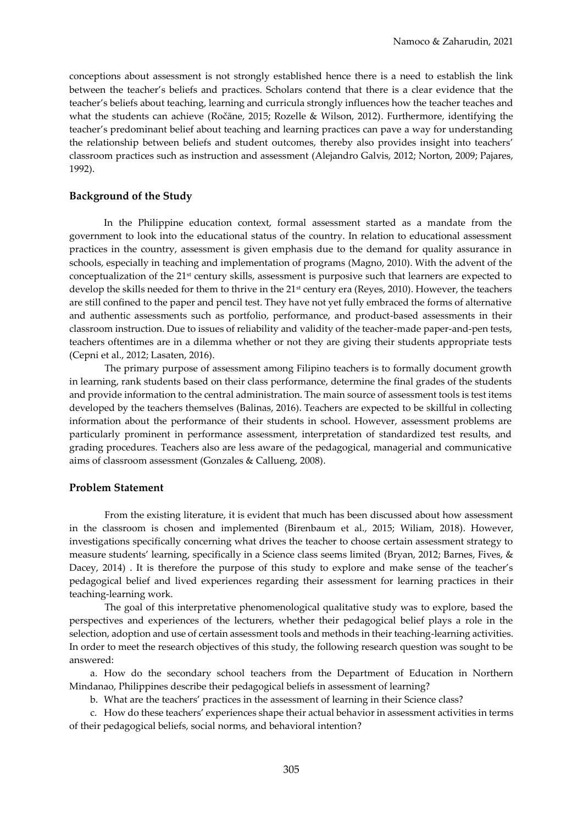conceptions about assessment is not strongly established hence there is a need to establish the link between the teacher's beliefs and practices. Scholars contend that there is a clear evidence that the teacher's beliefs about teaching, learning and curricula strongly influences how the teacher teaches and what the students can achieve (Ročāne, 2015; Rozelle & Wilson, 2012). Furthermore, identifying the teacher's predominant belief about teaching and learning practices can pave a way for understanding the relationship between beliefs and student outcomes, thereby also provides insight into teachers' classroom practices such as instruction and assessment (Alejandro Galvis, 2012; Norton, 2009; Pajares, 1992).

# **Background of the Study**

In the Philippine education context, formal assessment started as a mandate from the government to look into the educational status of the country. In relation to educational assessment practices in the country, assessment is given emphasis due to the demand for quality assurance in schools, especially in teaching and implementation of programs (Magno, 2010). With the advent of the conceptualization of the 21<sup>st</sup> century skills, assessment is purposive such that learners are expected to develop the skills needed for them to thrive in the 21<sup>st</sup> century era (Reyes, 2010). However, the teachers are still confined to the paper and pencil test. They have not yet fully embraced the forms of alternative and authentic assessments such as portfolio, performance, and product-based assessments in their classroom instruction. Due to issues of reliability and validity of the teacher-made paper-and-pen tests, teachers oftentimes are in a dilemma whether or not they are giving their students appropriate tests (Cepni et al., 2012; Lasaten, 2016).

The primary purpose of assessment among Filipino teachers is to formally document growth in learning, rank students based on their class performance, determine the final grades of the students and provide information to the central administration. The main source of assessment tools is test items developed by the teachers themselves (Balinas, 2016). Teachers are expected to be skillful in collecting information about the performance of their students in school. However, assessment problems are particularly prominent in performance assessment, interpretation of standardized test results, and grading procedures. Teachers also are less aware of the pedagogical, managerial and communicative aims of classroom assessment (Gonzales & Callueng, 2008).

# **Problem Statement**

From the existing literature, it is evident that much has been discussed about how assessment in the classroom is chosen and implemented (Birenbaum et al., 2015; Wiliam, 2018). However, investigations specifically concerning what drives the teacher to choose certain assessment strategy to measure students' learning, specifically in a Science class seems limited (Bryan, 2012; Barnes, Fives, & Dacey, 2014) . It is therefore the purpose of this study to explore and make sense of the teacher's pedagogical belief and lived experiences regarding their assessment for learning practices in their teaching-learning work.

The goal of this interpretative phenomenological qualitative study was to explore, based the perspectives and experiences of the lecturers, whether their pedagogical belief plays a role in the selection, adoption and use of certain assessment tools and methods in their teaching-learning activities. In order to meet the research objectives of this study, the following research question was sought to be answered:

a. How do the secondary school teachers from the Department of Education in Northern Mindanao, Philippines describe their pedagogical beliefs in assessment of learning?

b. What are the teachers' practices in the assessment of learning in their Science class?

c. How do these teachers' experiences shape their actual behavior in assessment activities in terms of their pedagogical beliefs, social norms, and behavioral intention?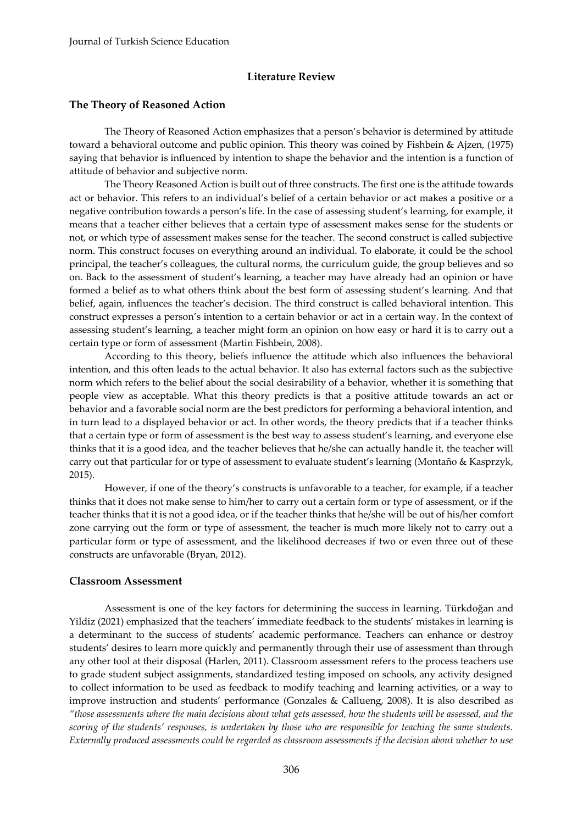# **Literature Review**

### **The Theory of Reasoned Action**

The Theory of Reasoned Action emphasizes that a person's behavior is determined by attitude toward a behavioral outcome and public opinion. This theory was coined by Fishbein & Ajzen, (1975) saying that behavior is influenced by intention to shape the behavior and the intention is a function of attitude of behavior and subjective norm.

The Theory Reasoned Action is built out of three constructs. The first one is the attitude towards act or behavior. This refers to an individual's belief of a certain behavior or act makes a positive or a negative contribution towards a person's life. In the case of assessing student's learning, for example, it means that a teacher either believes that a certain type of assessment makes sense for the students or not, or which type of assessment makes sense for the teacher. The second construct is called subjective norm. This construct focuses on everything around an individual. To elaborate, it could be the school principal, the teacher's colleagues, the cultural norms, the curriculum guide, the group believes and so on. Back to the assessment of student's learning, a teacher may have already had an opinion or have formed a belief as to what others think about the best form of assessing student's learning. And that belief, again, influences the teacher's decision. The third construct is called behavioral intention. This construct expresses a person's intention to a certain behavior or act in a certain way. In the context of assessing student's learning, a teacher might form an opinion on how easy or hard it is to carry out a certain type or form of assessment (Martin Fishbein, 2008).

According to this theory, beliefs influence the attitude which also influences the behavioral intention, and this often leads to the actual behavior. It also has external factors such as the subjective norm which refers to the belief about the social desirability of a behavior, whether it is something that people view as acceptable. What this theory predicts is that a positive attitude towards an act or behavior and a favorable social norm are the best predictors for performing a behavioral intention, and in turn lead to a displayed behavior or act. In other words, the theory predicts that if a teacher thinks that a certain type or form of assessment is the best way to assess student's learning, and everyone else thinks that it is a good idea, and the teacher believes that he/she can actually handle it, the teacher will carry out that particular for or type of assessment to evaluate student's learning (Montaño & Kasprzyk, 2015).

However, if one of the theory's constructs is unfavorable to a teacher, for example, if a teacher thinks that it does not make sense to him/her to carry out a certain form or type of assessment, or if the teacher thinks that it is not a good idea, or if the teacher thinks that he/she will be out of his/her comfort zone carrying out the form or type of assessment, the teacher is much more likely not to carry out a particular form or type of assessment, and the likelihood decreases if two or even three out of these constructs are unfavorable (Bryan, 2012).

### **Classroom Assessment**

Assessment is one of the key factors for determining the success in learning. Türkdoğan and Yildiz (2021) emphasized that the teachers' immediate feedback to the students' mistakes in learning is a determinant to the success of students' academic performance. Teachers can enhance or destroy students' desires to learn more quickly and permanently through their use of assessment than through any other tool at their disposal (Harlen, 2011). Classroom assessment refers to the process teachers use to grade student subject assignments, standardized testing imposed on schools, any activity designed to collect information to be used as feedback to modify teaching and learning activities, or a way to improve instruction and students' performance (Gonzales & Callueng, 2008). It is also described as *"those assessments where the main decisions about what gets assessed, how the students will be assessed, and the scoring of the students' responses, is undertaken by those who are responsible for teaching the same students. Externally produced assessments could be regarded as classroom assessments if the decision about whether to use*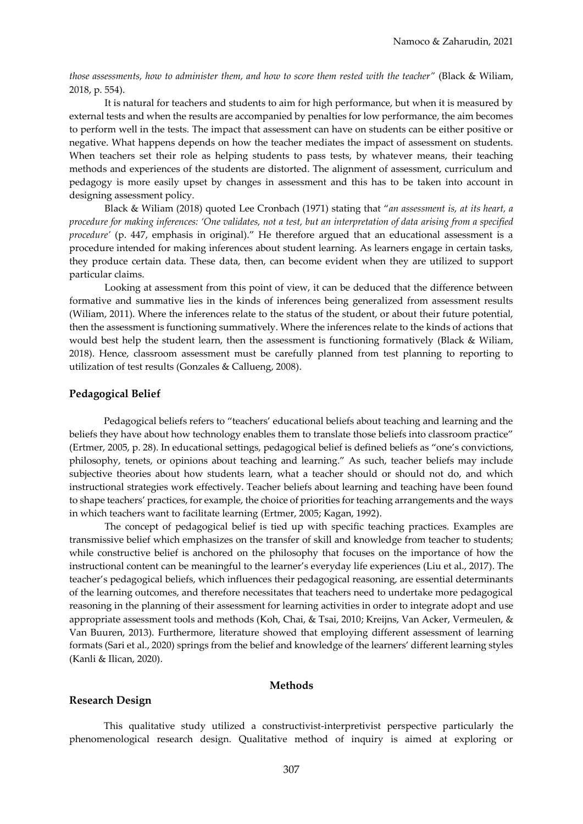*those assessments, how to administer them, and how to score them rested with the teacher"* (Black & Wiliam, 2018, p. 554).

It is natural for teachers and students to aim for high performance, but when it is measured by external tests and when the results are accompanied by penalties for low performance, the aim becomes to perform well in the tests. The impact that assessment can have on students can be either positive or negative. What happens depends on how the teacher mediates the impact of assessment on students. When teachers set their role as helping students to pass tests, by whatever means, their teaching methods and experiences of the students are distorted. The alignment of assessment, curriculum and pedagogy is more easily upset by changes in assessment and this has to be taken into account in designing assessment policy.

Black & Wiliam (2018) quoted Lee Cronbach (1971) stating that "*an assessment is, at its heart, a procedure for making inferences: 'One validates, not a test, but an interpretation of data arising from a specified procedure'* (p. 447, emphasis in original)." He therefore argued that an educational assessment is a procedure intended for making inferences about student learning. As learners engage in certain tasks, they produce certain data. These data, then, can become evident when they are utilized to support particular claims.

Looking at assessment from this point of view, it can be deduced that the difference between formative and summative lies in the kinds of inferences being generalized from assessment results (Wiliam, 2011). Where the inferences relate to the status of the student, or about their future potential, then the assessment is functioning summatively. Where the inferences relate to the kinds of actions that would best help the student learn, then the assessment is functioning formatively (Black & Wiliam, 2018). Hence, classroom assessment must be carefully planned from test planning to reporting to utilization of test results (Gonzales & Callueng, 2008).

# **Pedagogical Belief**

Pedagogical beliefs refers to "teachers' educational beliefs about teaching and learning and the beliefs they have about how technology enables them to translate those beliefs into classroom practice" (Ertmer, 2005, p. 28). In educational settings, pedagogical belief is defined beliefs as "one's convictions, philosophy, tenets, or opinions about teaching and learning." As such, teacher beliefs may include subjective theories about how students learn, what a teacher should or should not do, and which instructional strategies work effectively. Teacher beliefs about learning and teaching have been found to shape teachers' practices, for example, the choice of priorities for teaching arrangements and the ways in which teachers want to facilitate learning (Ertmer, 2005; Kagan, 1992).

The concept of pedagogical belief is tied up with specific teaching practices. Examples are transmissive belief which emphasizes on the transfer of skill and knowledge from teacher to students; while constructive belief is anchored on the philosophy that focuses on the importance of how the instructional content can be meaningful to the learner's everyday life experiences (Liu et al., 2017). The teacher's pedagogical beliefs, which influences their pedagogical reasoning, are essential determinants of the learning outcomes, and therefore necessitates that teachers need to undertake more pedagogical reasoning in the planning of their assessment for learning activities in order to integrate adopt and use appropriate assessment tools and methods (Koh, Chai, & Tsai, 2010; Kreijns, Van Acker, Vermeulen, & Van Buuren, 2013). Furthermore, literature showed that employing different assessment of learning formats (Sari et al., 2020) springs from the belief and knowledge of the learners' different learning styles (Kanli & Ilican, 2020).

# **Methods**

# **Research Design**

This qualitative study utilized a constructivist-interpretivist perspective particularly the phenomenological research design. Qualitative method of inquiry is aimed at exploring or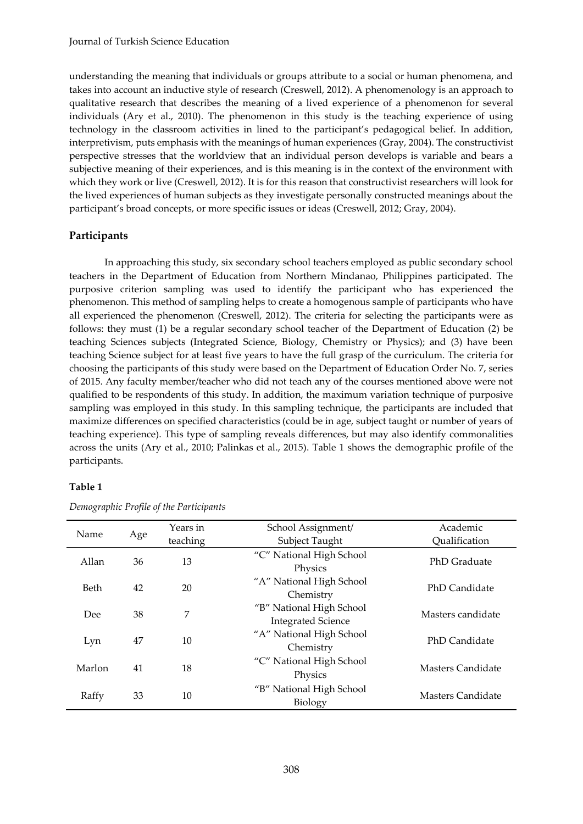understanding the meaning that individuals or groups attribute to a social or human phenomena, and takes into account an inductive style of research (Creswell, 2012). A phenomenology is an approach to qualitative research that describes the meaning of a lived experience of a phenomenon for several individuals (Ary et al., 2010). The phenomenon in this study is the teaching experience of using technology in the classroom activities in lined to the participant's pedagogical belief. In addition, interpretivism, puts emphasis with the meanings of human experiences (Gray, 2004). The constructivist perspective stresses that the worldview that an individual person develops is variable and bears a subjective meaning of their experiences, and is this meaning is in the context of the environment with which they work or live (Creswell, 2012). It is for this reason that constructivist researchers will look for the lived experiences of human subjects as they investigate personally constructed meanings about the participant's broad concepts, or more specific issues or ideas (Creswell, 2012; Gray, 2004).

# **Participants**

In approaching this study, six secondary school teachers employed as public secondary school teachers in the Department of Education from Northern Mindanao, Philippines participated. The purposive criterion sampling was used to identify the participant who has experienced the phenomenon. This method of sampling helps to create a homogenous sample of participants who have all experienced the phenomenon (Creswell, 2012). The criteria for selecting the participants were as follows: they must (1) be a regular secondary school teacher of the Department of Education (2) be teaching Sciences subjects (Integrated Science, Biology, Chemistry or Physics); and (3) have been teaching Science subject for at least five years to have the full grasp of the curriculum. The criteria for choosing the participants of this study were based on the Department of Education Order No. 7, series of 2015. Any faculty member/teacher who did not teach any of the courses mentioned above were not qualified to be respondents of this study. In addition, the maximum variation technique of purposive sampling was employed in this study. In this sampling technique, the participants are included that maximize differences on specified characteristics (could be in age, subject taught or number of years of teaching experience). This type of sampling reveals differences, but may also identify commonalities across the units (Ary et al., 2010; Palinkas et al., 2015). Table 1 shows the demographic profile of the participants.

# **Table 1**

| Name        | Age | Years in | School Assignment/        | Academic          |  |
|-------------|-----|----------|---------------------------|-------------------|--|
|             |     | teaching | Subject Taught            | Qualification     |  |
| Allan       | 36  | 13       | "C" National High School  | PhD Graduate      |  |
|             |     |          | Physics                   |                   |  |
| <b>Beth</b> | 42  | 20       | "A" National High School  | PhD Candidate     |  |
|             |     |          | Chemistry                 |                   |  |
| Dee         | 38  | 7        | "B" National High School  | Masters candidate |  |
|             |     |          | <b>Integrated Science</b> |                   |  |
|             |     |          | "A" National High School  | PhD Candidate     |  |
| Lyn         | 47  | 10       | Chemistry                 |                   |  |
| Marlon      | 41  | 18       | "C" National High School  | Masters Candidate |  |
|             |     |          | Physics                   |                   |  |
|             | 33  | 10       | "B" National High School  | Masters Candidate |  |
| Raffy       |     |          | Biology                   |                   |  |

*Demographic Profile of the Participants*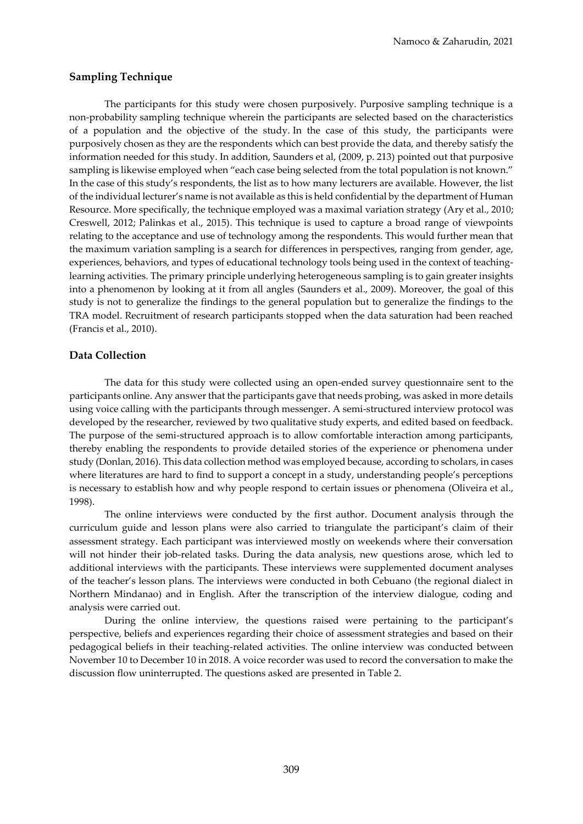# **Sampling Technique**

The participants for this study were chosen purposively. Purposive sampling technique is a non-probability sampling technique wherein the participants are selected based on the characteristics of a population and the objective of the study. In the case of this study, the participants were purposively chosen as they are the respondents which can best provide the data, and thereby satisfy the information needed for this study. In addition, Saunders et al, (2009, p. 213) pointed out that purposive sampling is likewise employed when "each case being selected from the total population is not known." In the case of this study's respondents, the list as to how many lecturers are available. However, the list of the individual lecturer's name is not available as this is held confidential by the department of Human Resource. More specifically, the technique employed was a maximal variation strategy (Ary et al., 2010; Creswell, 2012; Palinkas et al., 2015). This technique is used to capture a broad range of viewpoints relating to the acceptance and use of technology among the respondents. This would further mean that the maximum variation sampling is a search for differences in perspectives, ranging from gender, age, experiences, behaviors, and types of educational technology tools being used in the context of teachinglearning activities. The primary principle underlying heterogeneous sampling is to gain greater insights into a phenomenon by looking at it from all angles (Saunders et al., 2009). Moreover, the goal of this study is not to generalize the findings to the general population but to generalize the findings to the TRA model. Recruitment of research participants stopped when the data saturation had been reached (Francis et al., 2010).

# **Data Collection**

The data for this study were collected using an open-ended survey questionnaire sent to the participants online. Any answer that the participants gave that needs probing, was asked in more details using voice calling with the participants through messenger. A semi-structured interview protocol was developed by the researcher, reviewed by two qualitative study experts, and edited based on feedback. The purpose of the semi-structured approach is to allow comfortable interaction among participants, thereby enabling the respondents to provide detailed stories of the experience or phenomena under study (Donlan, 2016). This data collection method was employed because, according to scholars, in cases where literatures are hard to find to support a concept in a study, understanding people's perceptions is necessary to establish how and why people respond to certain issues or phenomena (Oliveira et al., 1998).

The online interviews were conducted by the first author. Document analysis through the curriculum guide and lesson plans were also carried to triangulate the participant's claim of their assessment strategy. Each participant was interviewed mostly on weekends where their conversation will not hinder their job-related tasks. During the data analysis, new questions arose, which led to additional interviews with the participants. These interviews were supplemented document analyses of the teacher's lesson plans. The interviews were conducted in both Cebuano (the regional dialect in Northern Mindanao) and in English. After the transcription of the interview dialogue, coding and analysis were carried out.

During the online interview, the questions raised were pertaining to the participant's perspective, beliefs and experiences regarding their choice of assessment strategies and based on their pedagogical beliefs in their teaching-related activities. The online interview was conducted between November 10 to December 10 in 2018. A voice recorder was used to record the conversation to make the discussion flow uninterrupted. The questions asked are presented in Table 2.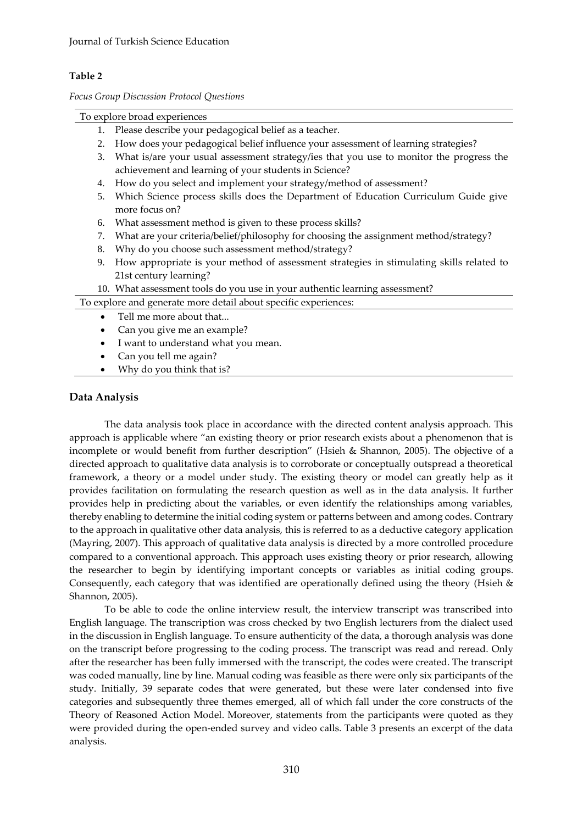# **Table 2**

*Focus Group Discussion Protocol Questions*

|               | To explore broad experiences                                                                                                                     |  |  |
|---------------|--------------------------------------------------------------------------------------------------------------------------------------------------|--|--|
| $1_{\cdot}$   | Please describe your pedagogical belief as a teacher.                                                                                            |  |  |
| 2.            | How does your pedagogical belief influence your assessment of learning strategies?                                                               |  |  |
| 3.            | What is/are your usual assessment strategy/ies that you use to monitor the progress the<br>achievement and learning of your students in Science? |  |  |
| 4.            | How do you select and implement your strategy/method of assessment?                                                                              |  |  |
| 5.            | Which Science process skills does the Department of Education Curriculum Guide give<br>more focus on?                                            |  |  |
| 6.            | What assessment method is given to these process skills?                                                                                         |  |  |
| 7.            | What are your criteria/belief/philosophy for choosing the assignment method/strategy?                                                            |  |  |
| 8.            | Why do you choose such assessment method/strategy?                                                                                               |  |  |
| 9.            | How appropriate is your method of assessment strategies in stimulating skills related to                                                         |  |  |
|               | 21st century learning?                                                                                                                           |  |  |
|               | 10. What assessment tools do you use in your authentic learning assessment?                                                                      |  |  |
|               | To explore and generate more detail about specific experiences:                                                                                  |  |  |
|               | Tell me more about that                                                                                                                          |  |  |
| $\bullet$     | Can you give me an example?                                                                                                                      |  |  |
|               | I want to understand what you mean.                                                                                                              |  |  |
|               | Can you tell me again?                                                                                                                           |  |  |
|               | Why do you think that is?                                                                                                                        |  |  |
| Data Analysis |                                                                                                                                                  |  |  |
|               |                                                                                                                                                  |  |  |

The data analysis took place in accordance with the directed content analysis approach. This approach is applicable where "an existing theory or prior research exists about a phenomenon that is incomplete or would benefit from further description" (Hsieh & Shannon, 2005). The objective of a directed approach to qualitative data analysis is to corroborate or conceptually outspread a theoretical framework, a theory or a model under study. The existing theory or model can greatly help as it provides facilitation on formulating the research question as well as in the data analysis. It further provides help in predicting about the variables, or even identify the relationships among variables, thereby enabling to determine the initial coding system or patterns between and among codes. Contrary to the approach in qualitative other data analysis, this is referred to as a deductive category application (Mayring, 2007). This approach of qualitative data analysis is directed by a more controlled procedure compared to a conventional approach. This approach uses existing theory or prior research, allowing the researcher to begin by identifying important concepts or variables as initial coding groups. Consequently, each category that was identified are operationally defined using the theory (Hsieh & Shannon, 2005).

To be able to code the online interview result, the interview transcript was transcribed into English language. The transcription was cross checked by two English lecturers from the dialect used in the discussion in English language. To ensure authenticity of the data, a thorough analysis was done on the transcript before progressing to the coding process. The transcript was read and reread. Only after the researcher has been fully immersed with the transcript, the codes were created. The transcript was coded manually, line by line. Manual coding was feasible as there were only six participants of the study. Initially, 39 separate codes that were generated, but these were later condensed into five categories and subsequently three themes emerged, all of which fall under the core constructs of the Theory of Reasoned Action Model. Moreover, statements from the participants were quoted as they were provided during the open-ended survey and video calls. Table 3 presents an excerpt of the data analysis.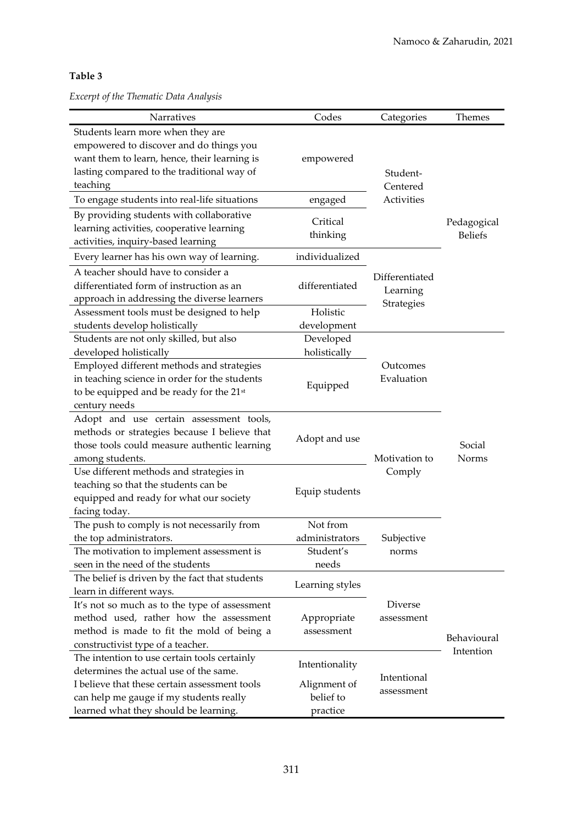# **Table 3**

*Excerpt of the Thematic Data Analysis*

| Narratives                                                                                                                                                                                                                  | Codes                                                   | Categories                               | Themes          |
|-----------------------------------------------------------------------------------------------------------------------------------------------------------------------------------------------------------------------------|---------------------------------------------------------|------------------------------------------|-----------------|
| Students learn more when they are<br>empowered to discover and do things you<br>want them to learn, hence, their learning is<br>lasting compared to the traditional way of<br>teaching                                      | empowered                                               | Student-<br>Centered                     |                 |
| To engage students into real-life situations                                                                                                                                                                                | engaged                                                 | <b>Activities</b>                        |                 |
| By providing students with collaborative<br>learning activities, cooperative learning<br>activities, inquiry-based learning                                                                                                 | Critical<br>thinking                                    | <b>Beliefs</b>                           | Pedagogical     |
| Every learner has his own way of learning.                                                                                                                                                                                  | individualized                                          |                                          |                 |
| A teacher should have to consider a<br>differentiated form of instruction as an<br>approach in addressing the diverse learners                                                                                              | differentiated                                          | Differentiated<br>Learning<br>Strategies |                 |
| Assessment tools must be designed to help                                                                                                                                                                                   | Holistic                                                |                                          |                 |
| students develop holistically                                                                                                                                                                                               | development                                             |                                          |                 |
| Students are not only skilled, but also                                                                                                                                                                                     | Developed                                               |                                          |                 |
| developed holistically                                                                                                                                                                                                      | holistically                                            |                                          |                 |
| Employed different methods and strategies<br>in teaching science in order for the students<br>to be equipped and be ready for the 21st<br>century needs                                                                     | Equipped                                                | Outcomes<br>Evaluation                   |                 |
| Adopt and use certain assessment tools,<br>methods or strategies because I believe that<br>those tools could measure authentic learning<br>among students.                                                                  | Adopt and use                                           | Motivation to                            | Social<br>Norms |
| Use different methods and strategies in<br>teaching so that the students can be<br>equipped and ready for what our society<br>facing today.                                                                                 | Equip students                                          | Comply                                   |                 |
| The push to comply is not necessarily from                                                                                                                                                                                  | Not from                                                |                                          |                 |
| the top administrators.                                                                                                                                                                                                     | administrators                                          | Subjective                               |                 |
| The motivation to implement assessment is<br>seen in the need of the students                                                                                                                                               | Student's<br>needs                                      | norms                                    |                 |
| The belief is driven by the fact that students<br>learn in different ways.                                                                                                                                                  | Learning styles                                         | Diverse<br>assessment                    | Behavioural     |
| It's not so much as to the type of assessment<br>method used, rather how the assessment<br>method is made to fit the mold of being a<br>constructivist type of a teacher.                                                   | Appropriate<br>assessment                               |                                          |                 |
| The intention to use certain tools certainly<br>determines the actual use of the same.<br>I believe that these certain assessment tools<br>can help me gauge if my students really<br>learned what they should be learning. | Intentionality<br>Alignment of<br>belief to<br>practice | Intentional<br>assessment                | Intention       |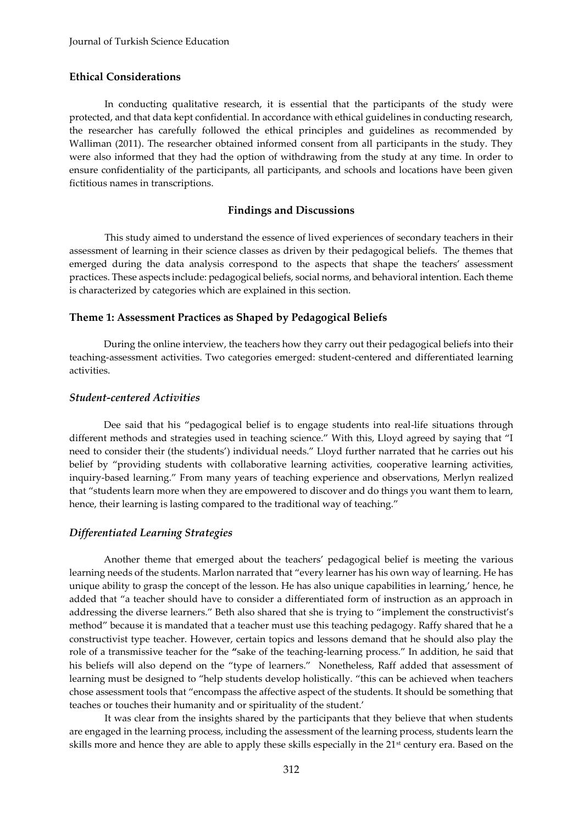### **Ethical Considerations**

In conducting qualitative research, it is essential that the participants of the study were protected, and that data kept confidential. In accordance with ethical guidelines in conducting research, the researcher has carefully followed the ethical principles and guidelines as recommended by Walliman (2011). The researcher obtained informed consent from all participants in the study. They were also informed that they had the option of withdrawing from the study at any time. In order to ensure confidentiality of the participants, all participants, and schools and locations have been given fictitious names in transcriptions.

### **Findings and Discussions**

This study aimed to understand the essence of lived experiences of secondary teachers in their assessment of learning in their science classes as driven by their pedagogical beliefs. The themes that emerged during the data analysis correspond to the aspects that shape the teachers' assessment practices. These aspects include: pedagogical beliefs, social norms, and behavioral intention. Each theme is characterized by categories which are explained in this section.

# **Theme 1: Assessment Practices as Shaped by Pedagogical Beliefs**

During the online interview, the teachers how they carry out their pedagogical beliefs into their teaching-assessment activities. Two categories emerged: student-centered and differentiated learning activities.

### *Student-centered Activities*

Dee said that his "pedagogical belief is to engage students into real-life situations through different methods and strategies used in teaching science." With this, Lloyd agreed by saying that "I need to consider their (the students') individual needs." Lloyd further narrated that he carries out his belief by "providing students with collaborative learning activities, cooperative learning activities, inquiry-based learning." From many years of teaching experience and observations, Merlyn realized that "students learn more when they are empowered to discover and do things you want them to learn, hence, their learning is lasting compared to the traditional way of teaching."

### *Differentiated Learning Strategies*

Another theme that emerged about the teachers' pedagogical belief is meeting the various learning needs of the students. Marlon narrated that "every learner has his own way of learning. He has unique ability to grasp the concept of the lesson. He has also unique capabilities in learning,' hence, he added that "a teacher should have to consider a differentiated form of instruction as an approach in addressing the diverse learners." Beth also shared that she is trying to "implement the constructivist's method" because it is mandated that a teacher must use this teaching pedagogy. Raffy shared that he a constructivist type teacher. However, certain topics and lessons demand that he should also play the role of a transmissive teacher for the **"**sake of the teaching-learning process." In addition, he said that his beliefs will also depend on the "type of learners." Nonetheless, Raff added that assessment of learning must be designed to "help students develop holistically. "this can be achieved when teachers chose assessment tools that "encompass the affective aspect of the students. It should be something that teaches or touches their humanity and or spirituality of the student.'

It was clear from the insights shared by the participants that they believe that when students are engaged in the learning process, including the assessment of the learning process, students learn the skills more and hence they are able to apply these skills especially in the 21<sup>st</sup> century era. Based on the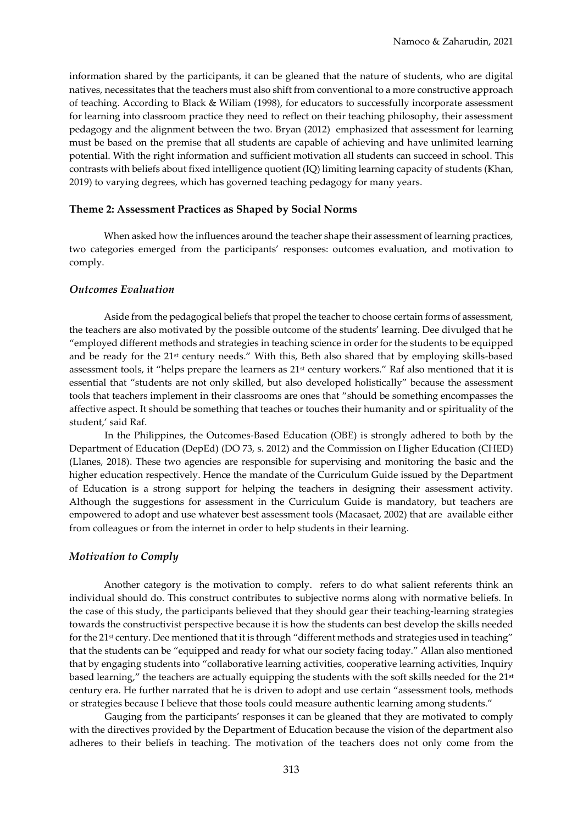information shared by the participants, it can be gleaned that the nature of students, who are digital natives, necessitates that the teachers must also shift from conventional to a more constructive approach of teaching. According to Black & Wiliam (1998), for educators to successfully incorporate assessment for learning into classroom practice they need to reflect on their teaching philosophy, their assessment pedagogy and the alignment between the two. Bryan (2012) emphasized that assessment for learning must be based on the premise that all students are capable of achieving and have unlimited learning potential. With the right information and sufficient motivation all students can succeed in school. This contrasts with beliefs about fixed intelligence quotient (IQ) limiting learning capacity of students (Khan, 2019) to varying degrees, which has governed teaching pedagogy for many years.

# **Theme 2: Assessment Practices as Shaped by Social Norms**

When asked how the influences around the teacher shape their assessment of learning practices, two categories emerged from the participants' responses: outcomes evaluation, and motivation to comply.

# *Outcomes Evaluation*

Aside from the pedagogical beliefs that propel the teacher to choose certain forms of assessment, the teachers are also motivated by the possible outcome of the students' learning. Dee divulged that he "employed different methods and strategies in teaching science in order for the students to be equipped and be ready for the 21<sup>st</sup> century needs." With this, Beth also shared that by employing skills-based assessment tools, it "helps prepare the learners as  $21<sup>st</sup>$  century workers." Raf also mentioned that it is essential that "students are not only skilled, but also developed holistically" because the assessment tools that teachers implement in their classrooms are ones that "should be something encompasses the affective aspect. It should be something that teaches or touches their humanity and or spirituality of the student,' said Raf.

In the Philippines, the Outcomes-Based Education (OBE) is strongly adhered to both by the Department of Education (DepEd) (DO 73, s. 2012) and the Commission on Higher Education (CHED) (Llanes, 2018). These two agencies are responsible for supervising and monitoring the basic and the higher education respectively. Hence the mandate of the Curriculum Guide issued by the Department of Education is a strong support for helping the teachers in designing their assessment activity. Although the suggestions for assessment in the Curriculum Guide is mandatory, but teachers are empowered to adopt and use whatever best assessment tools (Macasaet, 2002) that are available either from colleagues or from the internet in order to help students in their learning.

# *Motivation to Comply*

Another category is the motivation to comply. refers to do what salient referents think an individual should do. This construct contributes to subjective norms along with normative beliefs. In the case of this study, the participants believed that they should gear their teaching-learning strategies towards the constructivist perspective because it is how the students can best develop the skills needed for the 21<sup>st</sup> century. Dee mentioned that it is through "different methods and strategies used in teaching" that the students can be "equipped and ready for what our society facing today." Allan also mentioned that by engaging students into "collaborative learning activities, cooperative learning activities, Inquiry based learning," the teachers are actually equipping the students with the soft skills needed for the 21<sup>st</sup> century era. He further narrated that he is driven to adopt and use certain "assessment tools, methods or strategies because I believe that those tools could measure authentic learning among students."

Gauging from the participants' responses it can be gleaned that they are motivated to comply with the directives provided by the Department of Education because the vision of the department also adheres to their beliefs in teaching. The motivation of the teachers does not only come from the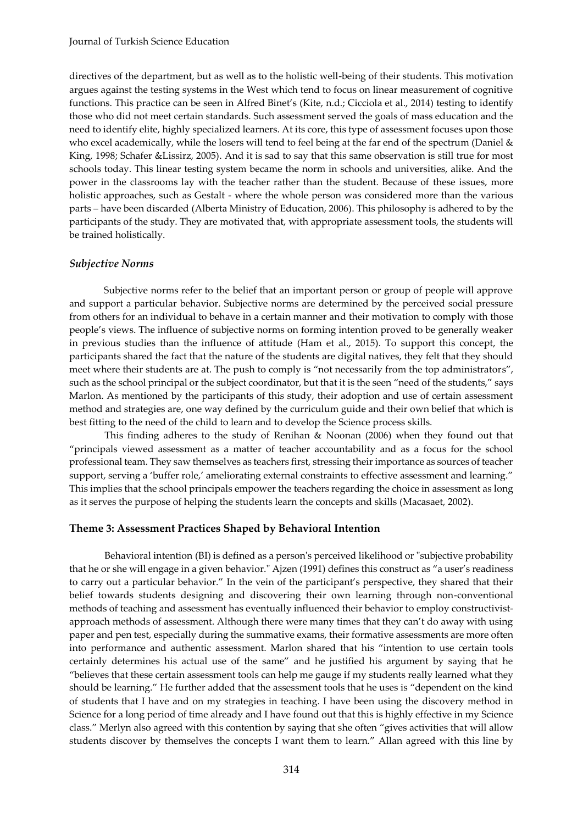directives of the department, but as well as to the holistic well-being of their students. This motivation argues against the testing systems in the West which tend to focus on linear measurement of cognitive functions. This practice can be seen in Alfred Binet's (Kite, n.d.; Cicciola et al., 2014) testing to identify those who did not meet certain standards. Such assessment served the goals of mass education and the need to identify elite, highly specialized learners. At its core, this type of assessment focuses upon those who excel academically, while the losers will tend to feel being at the far end of the spectrum (Daniel & King, 1998; Schafer &Lissirz, 2005). And it is sad to say that this same observation is still true for most schools today. This linear testing system became the norm in schools and universities, alike. And the power in the classrooms lay with the teacher rather than the student. Because of these issues, more holistic approaches, such as Gestalt - where the whole person was considered more than the various parts – have been discarded (Alberta Ministry of Education, 2006). This philosophy is adhered to by the participants of the study. They are motivated that, with appropriate assessment tools, the students will be trained holistically.

### *Subjective Norms*

Subjective norms refer to the belief that an important person or group of people will approve and support a particular behavior. Subjective norms are determined by the perceived social pressure from others for an individual to behave in a certain manner and their motivation to comply with those people's views. The influence of subjective norms on forming intention proved to be generally weaker in previous studies than the influence of attitude (Ham et al., 2015). To support this concept, the participants shared the fact that the nature of the students are digital natives, they felt that they should meet where their students are at. The push to comply is "not necessarily from the top administrators", such as the school principal or the subject coordinator, but that it is the seen "need of the students," says Marlon. As mentioned by the participants of this study, their adoption and use of certain assessment method and strategies are, one way defined by the curriculum guide and their own belief that which is best fitting to the need of the child to learn and to develop the Science process skills.

This finding adheres to the study of Renihan & Noonan (2006) when they found out that "principals viewed assessment as a matter of teacher accountability and as a focus for the school professional team. They saw themselves as teachers first, stressing their importance as sources of teacher support, serving a 'buffer role,' ameliorating external constraints to effective assessment and learning." This implies that the school principals empower the teachers regarding the choice in assessment as long as it serves the purpose of helping the students learn the concepts and skills (Macasaet, 2002).

### **Theme 3: Assessment Practices Shaped by Behavioral Intention**

Behavioral intention (BI) is defined as a person's perceived likelihood or "subjective probability that he or she will engage in a given behavior." Ajzen (1991) defines this construct as "a user's readiness to carry out a particular behavior." In the vein of the participant's perspective, they shared that their belief towards students designing and discovering their own learning through non-conventional methods of teaching and assessment has eventually influenced their behavior to employ constructivistapproach methods of assessment. Although there were many times that they can't do away with using paper and pen test, especially during the summative exams, their formative assessments are more often into performance and authentic assessment. Marlon shared that his "intention to use certain tools certainly determines his actual use of the same" and he justified his argument by saying that he "believes that these certain assessment tools can help me gauge if my students really learned what they should be learning." He further added that the assessment tools that he uses is "dependent on the kind of students that I have and on my strategies in teaching. I have been using the discovery method in Science for a long period of time already and I have found out that this is highly effective in my Science class." Merlyn also agreed with this contention by saying that she often "gives activities that will allow students discover by themselves the concepts I want them to learn." Allan agreed with this line by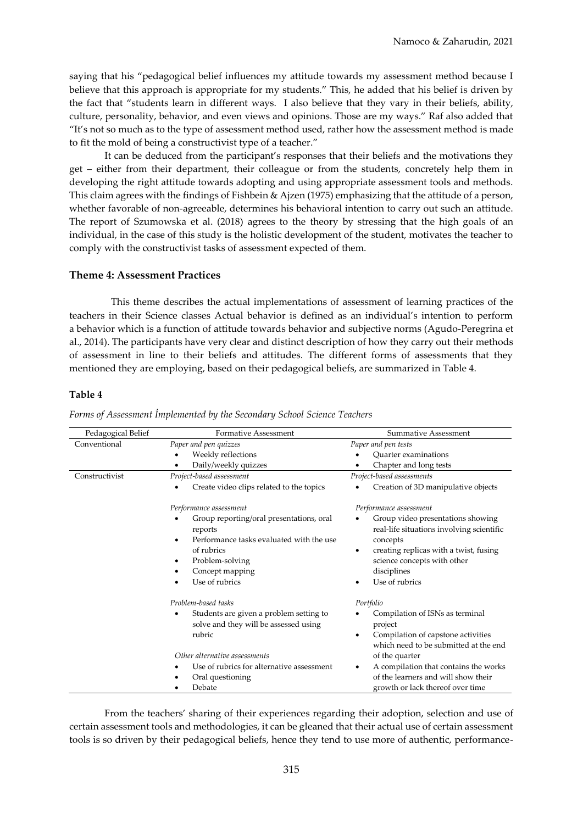saying that his "pedagogical belief influences my attitude towards my assessment method because I believe that this approach is appropriate for my students." This, he added that his belief is driven by the fact that "students learn in different ways. I also believe that they vary in their beliefs, ability, culture, personality, behavior, and even views and opinions. Those are my ways." Raf also added that "It's not so much as to the type of assessment method used, rather how the assessment method is made to fit the mold of being a constructivist type of a teacher."

It can be deduced from the participant's responses that their beliefs and the motivations they get – either from their department, their colleague or from the students, concretely help them in developing the right attitude towards adopting and using appropriate assessment tools and methods. This claim agrees with the findings of Fishbein & Ajzen (1975) emphasizing that the attitude of a person, whether favorable of non-agreeable, determines his behavioral intention to carry out such an attitude. The report of Szumowska et al. (2018) agrees to the theory by stressing that the high goals of an individual, in the case of this study is the holistic development of the student, motivates the teacher to comply with the constructivist tasks of assessment expected of them.

### **Theme 4: Assessment Practices**

This theme describes the actual implementations of assessment of learning practices of the teachers in their Science classes Actual behavior is defined as an individual's intention to perform a behavior which is a function of attitude towards behavior and subjective norms (Agudo-Peregrina et al., 2014). The participants have very clear and distinct description of how they carry out their methods of assessment in line to their beliefs and attitudes. The different forms of assessments that they mentioned they are employing, based on their pedagogical beliefs, are summarized in Table 4.

### **Table 4**

| Pedagogical Belief | Formative Assessment                                                                                 | Summative Assessment                                                                   |  |  |
|--------------------|------------------------------------------------------------------------------------------------------|----------------------------------------------------------------------------------------|--|--|
| Conventional       | Paper and pen quizzes                                                                                | Paper and pen tests                                                                    |  |  |
|                    | Weekly reflections                                                                                   | <b>Ouarter</b> examinations                                                            |  |  |
|                    | Daily/weekly quizzes<br>٠                                                                            | Chapter and long tests                                                                 |  |  |
| Constructivist     | Project-based assessment                                                                             | Project-based assessments                                                              |  |  |
|                    | Create video clips related to the topics                                                             | Creation of 3D manipulative objects                                                    |  |  |
|                    | Performance assessment                                                                               | Performance assessment                                                                 |  |  |
|                    | Group reporting/oral presentations, oral<br>reports<br>Performance tasks evaluated with the use<br>٠ | Group video presentations showing<br>real-life situations involving scientific         |  |  |
|                    | of rubrics<br>Problem-solving<br>٠                                                                   | concepts<br>creating replicas with a twist, fusing<br>٠<br>science concepts with other |  |  |
|                    | Concept mapping<br>٠                                                                                 | disciplines                                                                            |  |  |
|                    | Use of rubrics                                                                                       | Use of rubrics                                                                         |  |  |
|                    | Problem-based tasks                                                                                  | Portfolio                                                                              |  |  |
|                    | Students are given a problem setting to<br>٠<br>solve and they will be assessed using                | Compilation of ISNs as terminal<br>project                                             |  |  |
|                    | rubric                                                                                               | Compilation of capstone activities<br>which need to be submitted at the end            |  |  |
|                    | Other alternative assessments                                                                        | of the quarter                                                                         |  |  |
|                    | Use of rubrics for alternative assessment<br>٠                                                       | A compilation that contains the works<br>٠                                             |  |  |
|                    | Oral questioning<br>٠                                                                                | of the learners and will show their                                                    |  |  |
|                    | Debate<br>٠                                                                                          | growth or lack thereof over time                                                       |  |  |

*Forms of Assessment İmplemented by the Secondary School Science Teachers*

From the teachers' sharing of their experiences regarding their adoption, selection and use of certain assessment tools and methodologies, it can be gleaned that their actual use of certain assessment tools is so driven by their pedagogical beliefs, hence they tend to use more of authentic, performance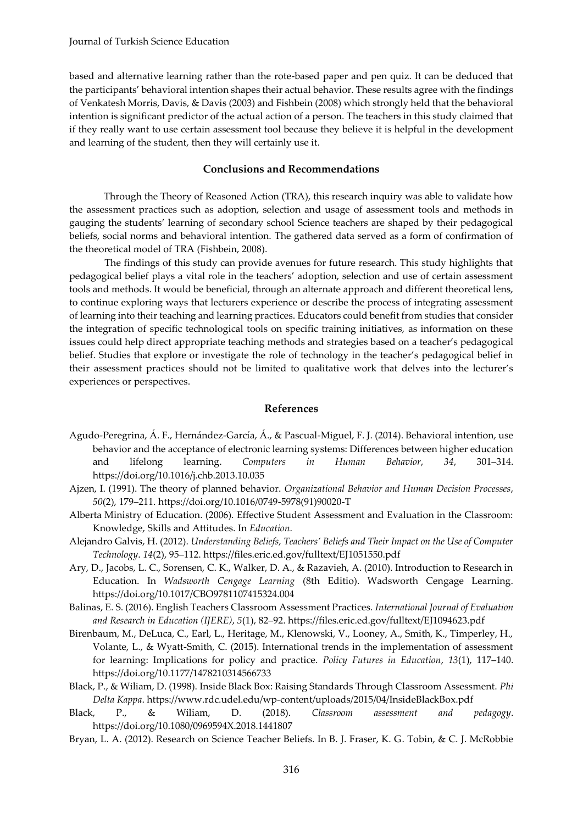based and alternative learning rather than the rote-based paper and pen quiz. It can be deduced that the participants' behavioral intention shapes their actual behavior. These results agree with the findings of Venkatesh Morris, Davis, & Davis (2003) and Fishbein (2008) which strongly held that the behavioral intention is significant predictor of the actual action of a person. The teachers in this study claimed that if they really want to use certain assessment tool because they believe it is helpful in the development and learning of the student, then they will certainly use it.

### **Conclusions and Recommendations**

Through the Theory of Reasoned Action (TRA), this research inquiry was able to validate how the assessment practices such as adoption, selection and usage of assessment tools and methods in gauging the students' learning of secondary school Science teachers are shaped by their pedagogical beliefs, social norms and behavioral intention. The gathered data served as a form of confirmation of the theoretical model of TRA (Fishbein, 2008).

The findings of this study can provide avenues for future research. This study highlights that pedagogical belief plays a vital role in the teachers' adoption, selection and use of certain assessment tools and methods. It would be beneficial, through an alternate approach and different theoretical lens, to continue exploring ways that lecturers experience or describe the process of integrating assessment of learning into their teaching and learning practices. Educators could benefit from studies that consider the integration of specific technological tools on specific training initiatives, as information on these issues could help direct appropriate teaching methods and strategies based on a teacher's pedagogical belief. Studies that explore or investigate the role of technology in the teacher's pedagogical belief in their assessment practices should not be limited to qualitative work that delves into the lecturer's experiences or perspectives.

### **References**

- Agudo-Peregrina, Á. F., Hernández-García, Á., & Pascual-Miguel, F. J. (2014). Behavioral intention, use behavior and the acceptance of electronic learning systems: Differences between higher education and lifelong learning. *Computers in Human Behavior*, *34*, 301–314. https://doi.org/10.1016/j.chb.2013.10.035
- Ajzen, I. (1991). The theory of planned behavior. *Organizational Behavior and Human Decision Processes*, *50*(2), 179–211. https://doi.org/10.1016/0749-5978(91)90020-T
- Alberta Ministry of Education. (2006). Effective Student Assessment and Evaluation in the Classroom: Knowledge, Skills and Attitudes. In *Education*.
- Alejandro Galvis, H. (2012). *Understanding Beliefs, Teachers' Beliefs and Their Impact on the Use of Computer Technology*. *14*(2), 95–112. https://files.eric.ed.gov/fulltext/EJ1051550.pdf
- Ary, D., Jacobs, L. C., Sorensen, C. K., Walker, D. A., & Razavieh, A. (2010). Introduction to Research in Education. In *Wadsworth Cengage Learning* (8th Editio). Wadsworth Cengage Learning. https://doi.org/10.1017/CBO9781107415324.004
- Balinas, E. S. (2016). English Teachers Classroom Assessment Practices. *International Journal of Evaluation and Research in Education (IJERE)*, *5*(1), 82–92. https://files.eric.ed.gov/fulltext/EJ1094623.pdf
- Birenbaum, M., DeLuca, C., Earl, L., Heritage, M., Klenowski, V., Looney, A., Smith, K., Timperley, H., Volante, L., & Wyatt-Smith, C. (2015). International trends in the implementation of assessment for learning: Implications for policy and practice. *Policy Futures in Education*, *13*(1), 117–140. https://doi.org/10.1177/1478210314566733
- Black, P., & Wiliam, D. (1998). Inside Black Box: Raising Standards Through Classroom Assessment. *Phi Delta Kappa*. https://www.rdc.udel.edu/wp-content/uploads/2015/04/InsideBlackBox.pdf
- Black, P., & Wiliam, D. (2018). *Classroom assessment and pedagogy*. https://doi.org/10.1080/0969594X.2018.1441807
- Bryan, L. A. (2012). Research on Science Teacher Beliefs. In B. J. Fraser, K. G. Tobin, & C. J. McRobbie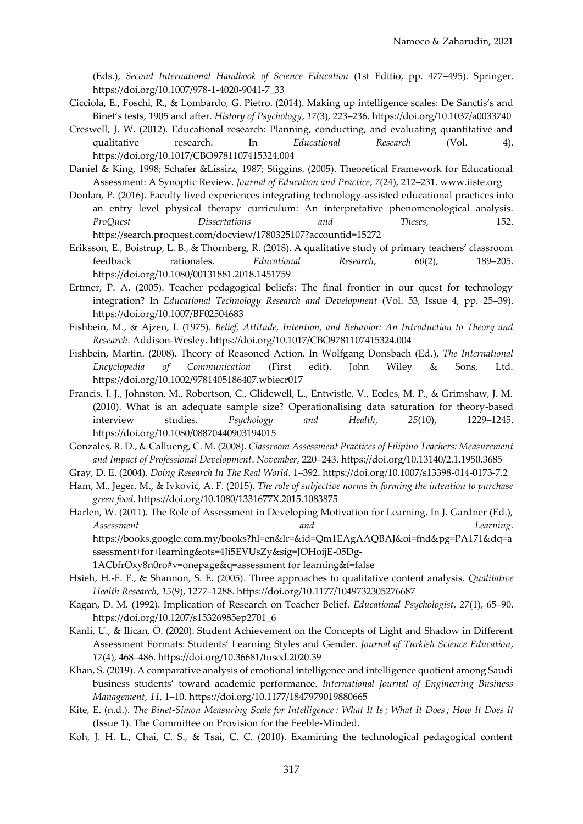(Eds.), *Second International Handbook of Science Education* (1st Editio, pp. 477–495). Springer. https://doi.org/10.1007/978-1-4020-9041-7\_33

- Cicciola, E., Foschi, R., & Lombardo, G. Pietro. (2014). Making up intelligence scales: De Sanctis's and Binet's tests, 1905 and after. *History of Psychology*, *17*(3), 223–236. https://doi.org/10.1037/a0033740
- Creswell, J. W. (2012). Educational research: Planning, conducting, and evaluating quantitative and qualitative research. In *Educational Research* (Vol. 4). https://doi.org/10.1017/CBO9781107415324.004
- Daniel & King, 1998; Schafer &Lissirz, 1987; Stiggins. (2005). Theoretical Framework for Educational Assessment: A Synoptic Review. *Journal of Education and Practice*, *7*(24), 212–231. www.iiste.org
- Donlan, P. (2016). Faculty lived experiences integrating technology-assisted educational practices into an entry level physical therapy curriculum: An interpretative phenomenological analysis. *ProQuest Dissertations and Theses*, 152. https://search.proquest.com/docview/1780325107?accountid=15272
- Eriksson, E., Boistrup, L. B., & Thornberg, R. (2018). A qualitative study of primary teachers' classroom feedback rationales. *Educational Research*, *60*(2), 189–205. https://doi.org/10.1080/00131881.2018.1451759
- Ertmer, P. A. (2005). Teacher pedagogical beliefs: The final frontier in our quest for technology integration? In *Educational Technology Research and Development* (Vol. 53, Issue 4, pp. 25–39). https://doi.org/10.1007/BF02504683
- Fishbein, M., & Ajzen, I. (1975). *Belief, Attitude, Intention, and Behavior: An Introduction to Theory and Research*. Addison-Wesley. https://doi.org/10.1017/CBO9781107415324.004
- Fishbein, Martin. (2008). Theory of Reasoned Action. In Wolfgang Donsbach (Ed.), *The International Encyclopedia of Communication* (First edit). John Wiley & Sons, Ltd. https://doi.org/10.1002/9781405186407.wbiecr017
- Francis, J. J., Johnston, M., Robertson, C., Glidewell, L., Entwistle, V., Eccles, M. P., & Grimshaw, J. M. (2010). What is an adequate sample size? Operationalising data saturation for theory-based interview studies. *Psychology and Health*, *25*(10), 1229–1245. https://doi.org/10.1080/08870440903194015
- Gonzales, R. D., & Callueng, C. M. (2008). *Classroom Assessment Practices of Filipino Teachers: Measurement and Impact of Professional Development*. *November*, 220–243. https://doi.org/10.13140/2.1.1950.3685
- Gray, D. E. (2004). *Doing Research In The Real World*. 1–392. https://doi.org/10.1007/s13398-014-0173-7.2
- Ham, M., Jeger, M., & Ivković, A. F. (2015). *The role of subjective norms in forming the intention to purchase green food*. https://doi.org/10.1080/1331677X.2015.1083875
- Harlen, W. (2011). The Role of Assessment in Developing Motivation for Learning. In J. Gardner (Ed.), *Assessment and Learning*. https://books.google.com.my/books?hl=en&lr=&id=Qm1EAgAAQBAJ&oi=fnd&pg=PA171&dq=a ssessment+for+learning&ots=4Ji5EVUsZy&sig=JOHoijE-05Dg-

1ACbfrOxy8n0ro#v=onepage&q=assessment for learning&f=false

- Hsieh, H.-F. F., & Shannon, S. E. (2005). Three approaches to qualitative content analysis. *Qualitative Health Research*, *15*(9), 1277–1288. https://doi.org/10.1177/1049732305276687
- Kagan, D. M. (1992). Implication of Research on Teacher Belief. *Educational Psychologist*, *27*(1), 65–90. https://doi.org/10.1207/s15326985ep2701\_6
- Kanli, U., & Ilican, Ö. (2020). Student Achievement on the Concepts of Light and Shadow in Different Assessment Formats: Students' Learning Styles and Gender. *Journal of Turkish Science Education*, *17*(4), 468–486. https://doi.org/10.36681/tused.2020.39
- Khan, S. (2019). A comparative analysis of emotional intelligence and intelligence quotient among Saudi business students' toward academic performance. *International Journal of Engineering Business Management*, *11*, 1–10. https://doi.org/10.1177/1847979019880665
- Kite, E. (n.d.). *The Binet-Simon Measuring Scale for Intelligence : What It Is ; What It Does ; How It Does It* (Issue 1). The Committee on Provision for the Feeble-Minded.
- Koh, J. H. L., Chai, C. S., & Tsai, C. C. (2010). Examining the technological pedagogical content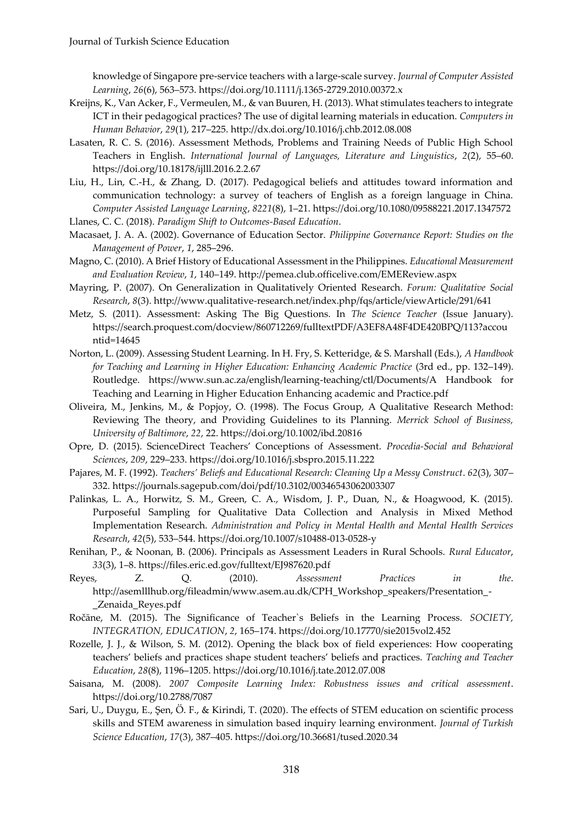knowledge of Singapore pre-service teachers with a large-scale survey. *Journal of Computer Assisted Learning*, *26*(6), 563–573. https://doi.org/10.1111/j.1365-2729.2010.00372.x

- Kreijns, K., Van Acker, F., Vermeulen, M., & van Buuren, H. (2013). What stimulates teachers to integrate ICT in their pedagogical practices? The use of digital learning materials in education. *Computers in Human Behavior*, *29*(1), 217–225. http://dx.doi.org/10.1016/j.chb.2012.08.008
- Lasaten, R. C. S. (2016). Assessment Methods, Problems and Training Needs of Public High School Teachers in English. *International Journal of Languages, Literature and Linguistics*, *2*(2), 55–60. https://doi.org/10.18178/ijlll.2016.2.2.67
- Liu, H., Lin, C.-H., & Zhang, D. (2017). Pedagogical beliefs and attitudes toward information and communication technology: a survey of teachers of English as a foreign language in China. *Computer Assisted Language Learning*, *8221*(8), 1–21. https://doi.org/10.1080/09588221.2017.1347572 Llanes, C. C. (2018). *Paradigm Shift to Outcomes-Based Education*.
- Macasaet, J. A. A. (2002). Governance of Education Sector. *Philippine Governance Report: Studies on the Management of Power*, *1*, 285–296.
- Magno, C. (2010). A Brief History of Educational Assessment in the Philippines. *Educational Measurement and Evaluation Review*, *1*, 140–149. http://pemea.club.officelive.com/EMEReview.aspx
- Mayring, P. (2007). On Generalization in Qualitatively Oriented Research. *Forum: Qualitative Social Research*, *8*(3). http://www.qualitative-research.net/index.php/fqs/article/viewArticle/291/641
- Metz, S. (2011). Assessment: Asking The Big Questions. In *The Science Teacher* (Issue January). https://search.proquest.com/docview/860712269/fulltextPDF/A3EF8A48F4DE420BPQ/113?accou ntid=14645
- Norton, L. (2009). Assessing Student Learning. In H. Fry, S. Ketteridge, & S. Marshall (Eds.), *A Handbook for Teaching and Learning in Higher Education: Enhancing Academic Practice* (3rd ed., pp. 132–149). Routledge. https://www.sun.ac.za/english/learning-teaching/ctl/Documents/A Handbook for Teaching and Learning in Higher Education Enhancing academic and Practice.pdf
- Oliveira, M., Jenkins, M., & Popjoy, O. (1998). The Focus Group, A Qualitative Research Method: Reviewing The theory, and Providing Guidelines to its Planning. *Merrick School of Business, University of Baltimore*, *22*, 22. https://doi.org/10.1002/ibd.20816
- Opre, D. (2015). ScienceDirect Teachers' Conceptions of Assessment. *Procedia-Social and Behavioral Sciences*, *209*, 229–233. https://doi.org/10.1016/j.sbspro.2015.11.222
- Pajares, M. F. (1992). *Teachers' Beliefs and Educational Research: Cleaning Up a Messy Construct. 62(3), 307*-332. https://journals.sagepub.com/doi/pdf/10.3102/00346543062003307
- Palinkas, L. A., Horwitz, S. M., Green, C. A., Wisdom, J. P., Duan, N., & Hoagwood, K. (2015). Purposeful Sampling for Qualitative Data Collection and Analysis in Mixed Method Implementation Research. *Administration and Policy in Mental Health and Mental Health Services Research*, *42*(5), 533–544. https://doi.org/10.1007/s10488-013-0528-y
- Renihan, P., & Noonan, B. (2006). Principals as Assessment Leaders in Rural Schools. *Rural Educator*, *33*(3), 1–8. https://files.eric.ed.gov/fulltext/EJ987620.pdf
- Reyes, Z. Q. (2010). *Assessment Practices in the*. http://asemlllhub.org/fileadmin/www.asem.au.dk/CPH\_Workshop\_speakers/Presentation\_- \_Zenaida\_Reyes.pdf
- Ročāne, M. (2015). The Significance of Teacher`s Beliefs in the Learning Process. *SOCIETY, INTEGRATION, EDUCATION*, *2*, 165–174. https://doi.org/10.17770/sie2015vol2.452
- Rozelle, J. J., & Wilson, S. M. (2012). Opening the black box of field experiences: How cooperating teachers' beliefs and practices shape student teachers' beliefs and practices. *Teaching and Teacher Education*, *28*(8), 1196–1205. https://doi.org/10.1016/j.tate.2012.07.008
- Saisana, M. (2008). *2007 Composite Learning Index: Robustness issues and critical assessment*. https://doi.org/10.2788/7087
- Sari, U., Duygu, E., Şen, Ö. F., & Kirindi, T. (2020). The effects of STEM education on scientific process skills and STEM awareness in simulation based inquiry learning environment. *Journal of Turkish Science Education*, *17*(3), 387–405. https://doi.org/10.36681/tused.2020.34